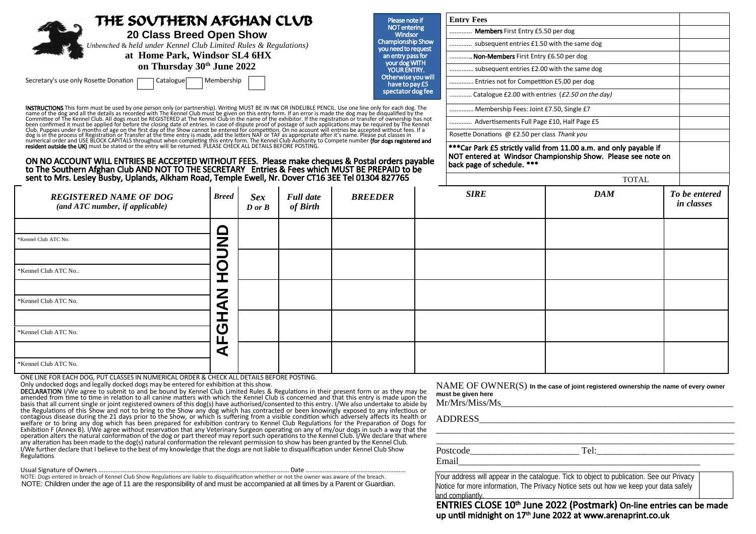| THE SOVTHERN AFGHAN CLVB<br>20 Class Breed Open Show<br>Unbenched & held under Kennel Club Limited Rules & Regulations)<br>at Home Park, Windsor SL4 6HX                                                                                                                                                                                                                                                                                                              |              |                                      |                  |                | Please note if                                  | <b>Entry Fees</b>                                                                                                                  |              |                   |
|-----------------------------------------------------------------------------------------------------------------------------------------------------------------------------------------------------------------------------------------------------------------------------------------------------------------------------------------------------------------------------------------------------------------------------------------------------------------------|--------------|--------------------------------------|------------------|----------------|-------------------------------------------------|------------------------------------------------------------------------------------------------------------------------------------|--------------|-------------------|
|                                                                                                                                                                                                                                                                                                                                                                                                                                                                       |              |                                      |                  |                | <b>NOT</b> entering<br><b>Windsor</b>           | Members First Entry £5.50 per dog                                                                                                  |              |                   |
|                                                                                                                                                                                                                                                                                                                                                                                                                                                                       |              |                                      |                  |                | <b>Championship Show</b><br>you need to request | subsequent entries £1.50 with the same dog                                                                                         |              |                   |
|                                                                                                                                                                                                                                                                                                                                                                                                                                                                       |              |                                      |                  |                | an entry pass for<br>your dog WITH              | Non-Members First Entry £6.50 per dog                                                                                              |              |                   |
| on Thursday 30th June 2022                                                                                                                                                                                                                                                                                                                                                                                                                                            |              |                                      |                  |                | <b>YOUR ENTRY.</b><br>Otherwise you will        | subsequent entries £2.00 with the same dog                                                                                         |              |                   |
| Secretary's use only Rosette Donation<br>Membership<br>Catalogue                                                                                                                                                                                                                                                                                                                                                                                                      |              |                                      |                  |                | have to pay £5                                  | Entries not for Competition £5.00 per dog                                                                                          |              |                   |
|                                                                                                                                                                                                                                                                                                                                                                                                                                                                       |              |                                      |                  |                | spectator dog fee                               | Catalogue £2.00 with entries (£2.50 on the day)                                                                                    |              |                   |
| <b>INSTRUCTIONS</b> This form must be used by one person only (or partnership). Writing MUST BE IN INK OR INDELIBLE PENCIL. Use one line only for each dog. The name of the dog and all the details as recorded with The Kennel Clu<br>ON NO ACCOUNT WILL ENTRIES BE ACCEPTED WITHOUT FEES. Please make cheques & Postal orders payable to The Southern Afghan Club AND NOT TO THE SECRETARY Entries & Fees which MUST BE PREPAID to be sent to Mrs. Lesley Busby, Up |              |                                      |                  |                |                                                 | Membership Fees: Joint £7.50, Single £7                                                                                            |              |                   |
|                                                                                                                                                                                                                                                                                                                                                                                                                                                                       |              |                                      |                  |                |                                                 | Advertisements Full Page £10, Half Page £5                                                                                         |              |                   |
|                                                                                                                                                                                                                                                                                                                                                                                                                                                                       |              |                                      |                  |                |                                                 | Rosette Donations @ £2.50 per class Thank you                                                                                      |              |                   |
|                                                                                                                                                                                                                                                                                                                                                                                                                                                                       |              |                                      |                  |                |                                                 | *** Car Park £5 strictly valid from 11.00 a.m. and only payable if<br>NOT entered at Windsor Championship Show. Please see note on |              |                   |
|                                                                                                                                                                                                                                                                                                                                                                                                                                                                       |              |                                      |                  |                |                                                 | back page of schedule. ***                                                                                                         |              |                   |
|                                                                                                                                                                                                                                                                                                                                                                                                                                                                       |              |                                      |                  |                |                                                 |                                                                                                                                    | <b>TOTAL</b> |                   |
| <b>REGISTERED NAME OF DOG</b>                                                                                                                                                                                                                                                                                                                                                                                                                                         | <b>Breed</b> | <b>Sex</b>                           | <b>Full date</b> | <b>BREEDER</b> |                                                 | <b>SIRE</b>                                                                                                                        | <b>DAM</b>   | To be entered     |
| (and ATC number, if applicable)                                                                                                                                                                                                                                                                                                                                                                                                                                       |              | $\boldsymbol{D}$ or $\boldsymbol{B}$ | of Birth         |                |                                                 |                                                                                                                                    |              | <i>in classes</i> |
|                                                                                                                                                                                                                                                                                                                                                                                                                                                                       |              |                                      |                  |                |                                                 |                                                                                                                                    |              |                   |
|                                                                                                                                                                                                                                                                                                                                                                                                                                                                       |              |                                      |                  |                |                                                 |                                                                                                                                    |              |                   |
| *Kennel Club ATC No.                                                                                                                                                                                                                                                                                                                                                                                                                                                  | 3<br>5       |                                      |                  |                |                                                 |                                                                                                                                    |              |                   |
|                                                                                                                                                                                                                                                                                                                                                                                                                                                                       | O            |                                      |                  |                |                                                 |                                                                                                                                    |              |                   |
| *Kennel Club ATC No                                                                                                                                                                                                                                                                                                                                                                                                                                                   | Ĭ            |                                      |                  |                |                                                 |                                                                                                                                    |              |                   |
|                                                                                                                                                                                                                                                                                                                                                                                                                                                                       |              |                                      |                  |                |                                                 |                                                                                                                                    |              |                   |
| *Kennel Club ATC No.                                                                                                                                                                                                                                                                                                                                                                                                                                                  | Z<br>⋖       |                                      |                  |                |                                                 |                                                                                                                                    |              |                   |
|                                                                                                                                                                                                                                                                                                                                                                                                                                                                       | I            |                                      |                  |                |                                                 |                                                                                                                                    |              |                   |
| *Kennel Club ATC No.                                                                                                                                                                                                                                                                                                                                                                                                                                                  | ෆ            |                                      |                  |                |                                                 |                                                                                                                                    |              |                   |
|                                                                                                                                                                                                                                                                                                                                                                                                                                                                       |              |                                      |                  |                |                                                 |                                                                                                                                    |              |                   |
|                                                                                                                                                                                                                                                                                                                                                                                                                                                                       | Щ            |                                      |                  |                |                                                 |                                                                                                                                    |              |                   |
|                                                                                                                                                                                                                                                                                                                                                                                                                                                                       | ⋖            |                                      |                  |                |                                                 |                                                                                                                                    |              |                   |
| *Kennel Club ATC No.                                                                                                                                                                                                                                                                                                                                                                                                                                                  |              |                                      |                  |                |                                                 |                                                                                                                                    |              |                   |

ONE LINE FOR EACH DOG, PUT CLASSES IN NUMERICAL ORDER & CHECK ALL DETAILS BEFORE POSTING.

Only undocked dogs and legally docked dogs may be entered for exhibition at this show.<br> **DECLARATION** I/We agree to submit to and be bound by Kennel Club Limited Rules & Regulations in their present form or as they may be<br> I/We further declare that I believe to the best of my knowledge that the dogs are not liable to disqualification under Kennel Club Show Regulations

Usual Signature of Owners ......................................……................................................................... Date .......................................................... NOTE: Dogs entered in breach of Kennel Club Show Regulations are liable to disqualification whether or not the owner was aware of the breach.

NOTE: Children under the age of 11 are the responsibility of and must be accompanied at all times by a Parent or Guardian.

NAME OF OWNER(S) **In the case of joint registered ownership the name of every owner must be given here**

 $Mr/Mrs/Miss/Ms$ 

ADDRESS\_\_\_\_\_\_\_\_\_\_\_\_\_\_\_\_\_\_\_\_\_\_\_\_\_\_\_\_\_\_\_\_\_\_\_\_\_\_\_\_\_\_\_\_\_\_\_\_\_\_\_\_\_\_

Postcode Tel:

Email\_\_\_\_\_\_\_\_\_\_\_\_\_\_\_\_\_\_\_\_\_\_\_\_\_\_\_\_\_\_\_\_\_\_\_\_\_\_\_\_\_\_\_\_\_\_\_\_\_\_\_

Your address will appear in the catalogue. Tick to object to publication. See our Privacy Notice for more information, The Privacy Notice sets out how we keep your data safely and compliantly.

ENTRIES CLOSE 10<sup>th</sup> June 2022 (Postmark) On-line entries can be made up until midnight on 17<sup>th</sup> June 2022 at [www.arenaprint.co.uk](http://www.arenaprint.co.uk/)

\_\_\_\_\_\_\_\_\_\_\_\_\_\_\_\_\_\_\_\_\_\_\_\_\_\_\_\_\_\_\_\_\_\_\_\_\_\_\_\_\_\_\_\_\_\_\_\_\_\_\_\_\_\_\_\_\_\_\_\_\_\_\_ \_\_\_\_\_\_\_\_\_\_\_\_\_\_\_\_\_\_\_\_\_\_\_\_\_\_\_\_\_\_\_\_\_\_\_\_\_\_\_\_\_\_\_\_\_\_\_\_\_\_\_\_\_\_\_\_\_\_\_\_\_\_\_